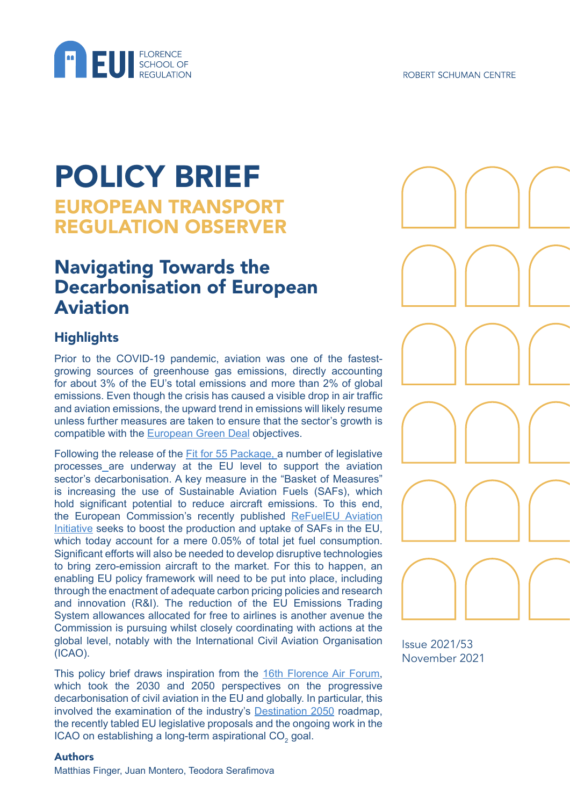

# POLICY BRIEF EUROPEAN TRANSPORT REGULATION OBSERVER

# Navigating Towards the Decarbonisation of European Aviation

## **Highlights**

Prior to the COVID-19 pandemic, aviation was one of the fastestgrowing sources of greenhouse gas emissions, directly accounting for about 3% of the EU's total emissions and more than 2% of global emissions. Even though the crisis has caused a visible drop in air traffic and aviation emissions, the upward trend in emissions will likely resume unless further measures are taken to ensure that the sector's growth is compatible with the [European Green Deal](https://ec.europa.eu/info/strategy/priorities-2019-2024/european-green-deal_en) objectives.

Following the release of the [Fit for 55 Package](https://www.consilium.europa.eu/en/policies/eu-plan-for-a-green-transition/), a number of legislative processes are underway at the EU level to support the aviation sector's decarbonisation. A key measure in the "Basket of Measures" is increasing the use of Sustainable Aviation Fuels (SAFs), which hold significant potential to reduce aircraft emissions. To this end, the European Commission's recently published [ReFuelEU Aviation](https://ec.europa.eu/info/sites/default/files/refueleu_aviation_-_sustainable_aviation_fuels.pdf)  [Initiative](https://ec.europa.eu/info/sites/default/files/refueleu_aviation_-_sustainable_aviation_fuels.pdf) seeks to boost the production and uptake of SAFs in the EU, which today account for a mere 0.05% of total jet fuel consumption. Significant efforts will also be needed to develop disruptive technologies to bring zero-emission aircraft to the market. For this to happen, an enabling EU policy framework will need to be put into place, including through the enactment of adequate carbon pricing policies and research and innovation (R&I). The reduction of the EU Emissions Trading System allowances allocated for free to airlines is another avenue the Commission is pursuing whilst closely coordinating with actions at the global level, notably with the International Civil Aviation Organisation (ICAO).

This policy brief draws inspiration from the [16th Florence Air Forum](https://fsr.eui.eu/event/16th-florence-air-forum-navigating-towards-the-decarbonisation-of-european-aviation/), which took the 2030 and 2050 perspectives on the progressive decarbonisation of civil aviation in the EU and globally. In particular, this involved the examination of the industry's [Destination 2050](https://www.destination2050.eu/) roadmap, the recently tabled EU legislative proposals and the ongoing work in the ICAO on establishing a long-term aspirational CO<sub>2</sub> goal.

Issue 2021/53 November 2021

#### Authors

Matthias Finger, Juan Montero, Teodora Serafimova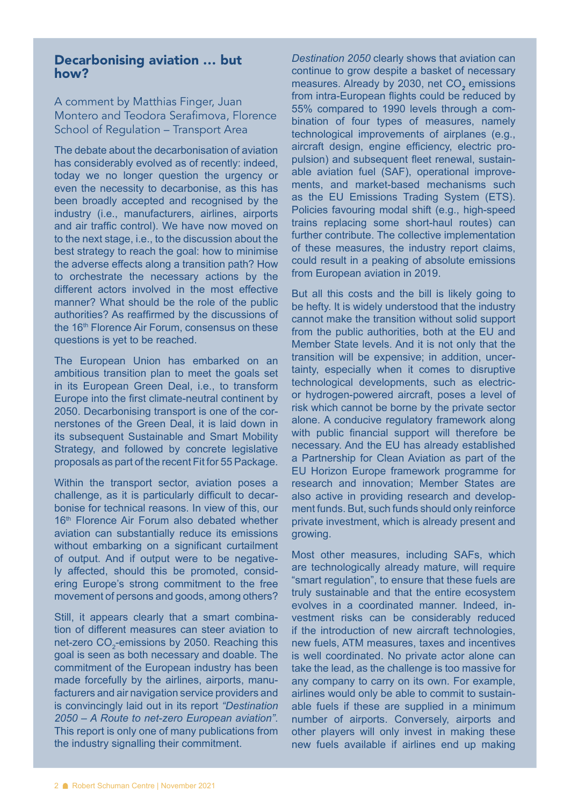#### Decarbonising aviation … but how?

A comment by Matthias Finger, Juan Montero and Teodora Serafimova, Florence School of Regulation – Transport Area

The debate about the decarbonisation of aviation has considerably evolved as of recently: indeed, today we no longer question the urgency or even the necessity to decarbonise, as this has been broadly accepted and recognised by the industry (i.e., manufacturers, airlines, airports and air traffic control). We have now moved on to the next stage, i.e., to the discussion about the best strategy to reach the goal: how to minimise the adverse effects along a transition path? How to orchestrate the necessary actions by the different actors involved in the most effective manner? What should be the role of the public authorities? As reaffirmed by the discussions of the 16<sup>th</sup> Florence Air Forum, consensus on these questions is yet to be reached.

The European Union has embarked on an ambitious transition plan to meet the goals set in its European Green Deal, i.e., to transform Europe into the first climate-neutral continent by 2050. Decarbonising transport is one of the cornerstones of the Green Deal, it is laid down in its subsequent Sustainable and Smart Mobility Strategy, and followed by concrete legislative proposals as part of the recent Fit for 55 Package.

Within the transport sector, aviation poses a challenge, as it is particularly difficult to decarbonise for technical reasons. In view of this, our 16<sup>th</sup> Florence Air Forum also debated whether aviation can substantially reduce its emissions without embarking on a significant curtailment of output. And if output were to be negatively affected, should this be promoted, considering Europe's strong commitment to the free movement of persons and goods, among others?

Still, it appears clearly that a smart combination of different measures can steer aviation to net-zero CO $_2^{}$ -emissions by 2050. Reaching this goal is seen as both necessary and doable. The commitment of the European industry has been made forcefully by the airlines, airports, manufacturers and air navigation service providers and is convincingly laid out in its report *"Destination 2050 – A Route to net-zero European aviation"*. This report is only one of many publications from the industry signalling their commitment.

*Destination 2050* clearly shows that aviation can continue to grow despite a basket of necessary measures. Already by 2030, net CO<sub>2</sub> emissions from intra-European flights could be reduced by 55% compared to 1990 levels through a combination of four types of measures, namely technological improvements of airplanes (e.g., aircraft design, engine efficiency, electric propulsion) and subsequent fleet renewal, sustainable aviation fuel (SAF), operational improvements, and market-based mechanisms such as the EU Emissions Trading System (ETS). Policies favouring modal shift (e.g., high-speed trains replacing some short-haul routes) can further contribute. The collective implementation of these measures, the industry report claims, could result in a peaking of absolute emissions from European aviation in 2019.

But all this costs and the bill is likely going to be hefty. It is widely understood that the industry cannot make the transition without solid support from the public authorities, both at the EU and Member State levels. And it is not only that the transition will be expensive; in addition, uncertainty, especially when it comes to disruptive technological developments, such as electricor hydrogen-powered aircraft, poses a level of risk which cannot be borne by the private sector alone. A conducive regulatory framework along with public financial support will therefore be necessary. And the EU has already established a Partnership for Clean Aviation as part of the EU Horizon Europe framework programme for research and innovation; Member States are also active in providing research and development funds. But, such funds should only reinforce private investment, which is already present and growing.

Most other measures, including SAFs, which are technologically already mature, will require "smart regulation", to ensure that these fuels are truly sustainable and that the entire ecosystem evolves in a coordinated manner. Indeed, investment risks can be considerably reduced if the introduction of new aircraft technologies, new fuels, ATM measures, taxes and incentives is well coordinated. No private actor alone can take the lead, as the challenge is too massive for any company to carry on its own. For example, airlines would only be able to commit to sustainable fuels if these are supplied in a minimum number of airports. Conversely, airports and other players will only invest in making these new fuels available if airlines end up making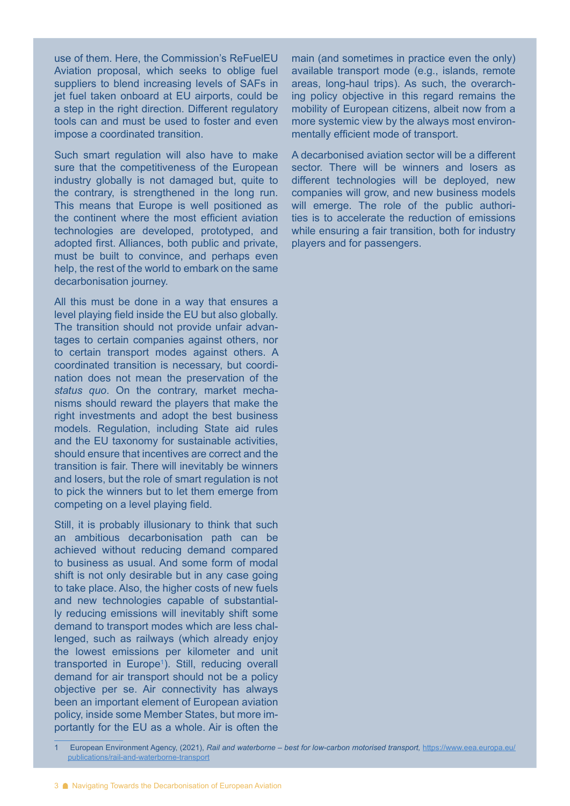use of them. Here, the Commission's ReFuelEU Aviation proposal, which seeks to oblige fuel suppliers to blend increasing levels of SAFs in jet fuel taken onboard at EU airports, could be a step in the right direction. Different regulatory tools can and must be used to foster and even impose a coordinated transition.

Such smart regulation will also have to make sure that the competitiveness of the European industry globally is not damaged but, quite to the contrary, is strengthened in the long run. This means that Europe is well positioned as the continent where the most efficient aviation technologies are developed, prototyped, and adopted first. Alliances, both public and private, must be built to convince, and perhaps even help, the rest of the world to embark on the same decarbonisation journey.

All this must be done in a way that ensures a level playing field inside the EU but also globally. The transition should not provide unfair advantages to certain companies against others, nor to certain transport modes against others. A coordinated transition is necessary, but coordination does not mean the preservation of the *status quo*. On the contrary, market mechanisms should reward the players that make the right investments and adopt the best business models. Regulation, including State aid rules and the EU taxonomy for sustainable activities, should ensure that incentives are correct and the transition is fair. There will inevitably be winners and losers, but the role of smart regulation is not to pick the winners but to let them emerge from competing on a level playing field.

Still, it is probably illusionary to think that such an ambitious decarbonisation path can be achieved without reducing demand compared to business as usual. And some form of modal shift is not only desirable but in any case going to take place. Also, the higher costs of new fuels and new technologies capable of substantially reducing emissions will inevitably shift some demand to transport modes which are less challenged, such as railways (which already enjoy the lowest emissions per kilometer and unit transported in Europe<sup>1</sup>). Still, reducing overall demand for air transport should not be a policy objective per se. Air connectivity has always been an important element of European aviation policy, inside some Member States, but more importantly for the EU as a whole. Air is often the

main (and sometimes in practice even the only) available transport mode (e.g., islands, remote areas, long-haul trips). As such, the overarching policy objective in this regard remains the mobility of European citizens, albeit now from a more systemic view by the always most environmentally efficient mode of transport.

A decarbonised aviation sector will be a different sector. There will be winners and losers as different technologies will be deployed, new companies will grow, and new business models will emerge. The role of the public authorities is to accelerate the reduction of emissions while ensuring a fair transition, both for industry players and for passengers.

<sup>1</sup> European Environment Agency, (2021), Rail and waterborne – best for low-carbon motorised transport, [https://www.eea.europa.eu/](https://www.eea.europa.eu/publications/rail-and-waterborne-transport) [publications/rail-and-waterborne-transport](https://www.eea.europa.eu/publications/rail-and-waterborne-transport)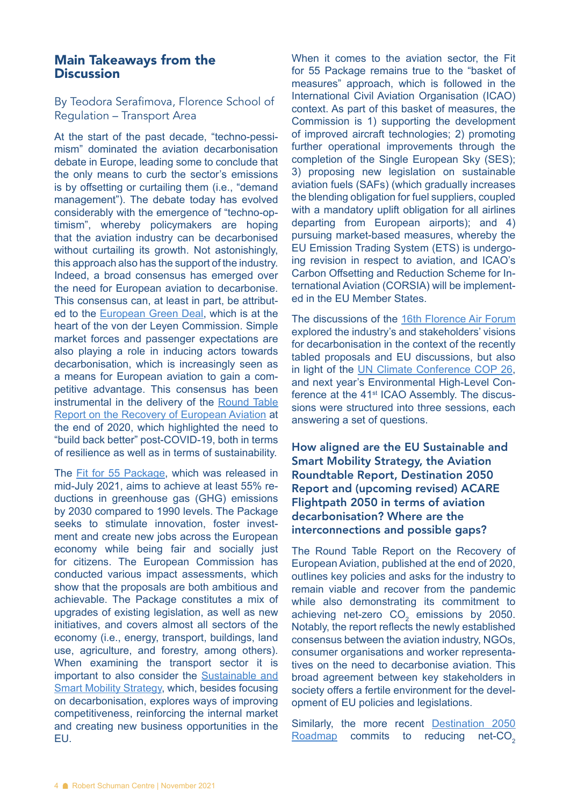#### Main Takeaways from the **Discussion**

By Teodora Serafimova, Florence School of Regulation – Transport Area

At the start of the past decade, "techno-pessimism" dominated the aviation decarbonisation debate in Europe, leading some to conclude that the only means to curb the sector's emissions is by offsetting or curtailing them (i.e., "demand management"). The debate today has evolved considerably with the emergence of "techno-optimism", whereby policymakers are hoping that the aviation industry can be decarbonised without curtailing its growth. Not astonishingly, this approach also has the support of the industry. Indeed, a broad consensus has emerged over the need for European aviation to decarbonise. This consensus can, at least in part, be attributed to the [European Green Deal](https://ec.europa.eu/info/sites/default/files/european-green-deal-communication_en.pdf), which is at the heart of the von der Leyen Commission. Simple market forces and passenger expectations are also playing a role in inducing actors towards decarbonisation, which is increasingly seen as a means for European aviation to gain a competitive advantage. This consensus has been instrumental in the delivery of the [Round Table](https://www.aci-europe.org/downloads/resources/Aviation%20Round%20Table%20REPORT%20FINAL%2016.11.2020.pdf)  [Report on the Recovery of European Aviation](https://www.aci-europe.org/downloads/resources/Aviation%20Round%20Table%20REPORT%20FINAL%2016.11.2020.pdf) at the end of 2020, which highlighted the need to "build back better" post-COVID-19, both in terms of resilience as well as in terms of sustainability.

The **[Fit for 55 Package](https://www.consilium.europa.eu/en/policies/eu-plan-for-a-green-transition/)**, which was released in mid-July 2021, aims to achieve at least 55% reductions in greenhouse gas (GHG) emissions by 2030 compared to 1990 levels. The Package seeks to stimulate innovation, foster investment and create new jobs across the European economy while being fair and socially just for citizens. The European Commission has conducted various impact assessments, which show that the proposals are both ambitious and achievable. The Package constitutes a mix of upgrades of existing legislation, as well as new initiatives, and covers almost all sectors of the economy (i.e., energy, transport, buildings, land use, agriculture, and forestry, among others). When examining the transport sector it is important to also consider the [Sustainable and](https://ec.europa.eu/transport/themes/mobilitystrategy_en)  [Smart Mobility Strategy](https://ec.europa.eu/transport/themes/mobilitystrategy_en), which, besides focusing on decarbonisation, explores ways of improving competitiveness, reinforcing the internal market and creating new business opportunities in the EU.

When it comes to the aviation sector, the Fit for 55 Package remains true to the "basket of measures" approach, which is followed in the International Civil Aviation Organisation (ICAO) context. As part of this basket of measures, the Commission is 1) supporting the development of improved aircraft technologies; 2) promoting further operational improvements through the completion of the Single European Sky (SES); 3) proposing new legislation on sustainable aviation fuels (SAFs) (which gradually increases the blending obligation for fuel suppliers, coupled with a mandatory uplift obligation for all airlines departing from European airports); and 4) pursuing market-based measures, whereby the EU Emission Trading System (ETS) is undergoing revision in respect to aviation, and ICAO's Carbon Offsetting and Reduction Scheme for International Aviation (CORSIA) will be implemented in the EU Member States.

The discussions of the [16th Florence Air Forum](https://fsr.eui.eu/event/16th-florence-air-forum-navigating-towards-the-decarbonisation-of-european-aviation/) explored the industry's and stakeholders' visions for decarbonisation in the context of the recently tabled proposals and EU discussions, but also in light of the [UN Climate Conference COP 26](https://ukcop26.org/), and next year's Environmental High-Level Conference at the 41<sup>st</sup> ICAO Assembly. The discussions were structured into three sessions, each answering a set of questions.

How aligned are the EU Sustainable and Smart Mobility Strategy, the Aviation Roundtable Report, Destination 2050 Report and (upcoming revised) ACARE Flightpath 2050 in terms of aviation decarbonisation? Where are the interconnections and possible gaps?

The Round Table Report on the Recovery of European Aviation, published at the end of 2020, outlines key policies and asks for the industry to remain viable and recover from the pandemic while also demonstrating its commitment to achieving net-zero  $CO<sub>2</sub>$  emissions by 2050. Notably, the report reflects the newly established consensus between the aviation industry, NGOs, consumer organisations and worker representatives on the need to decarbonise aviation. This broad agreement between key stakeholders in society offers a fertile environment for the development of EU policies and legislations.

Similarly, the more recent [Destination 2050](https://www.destination2050.eu/)   $Roadmap$  commits to reducing net-CO<sub>2</sub>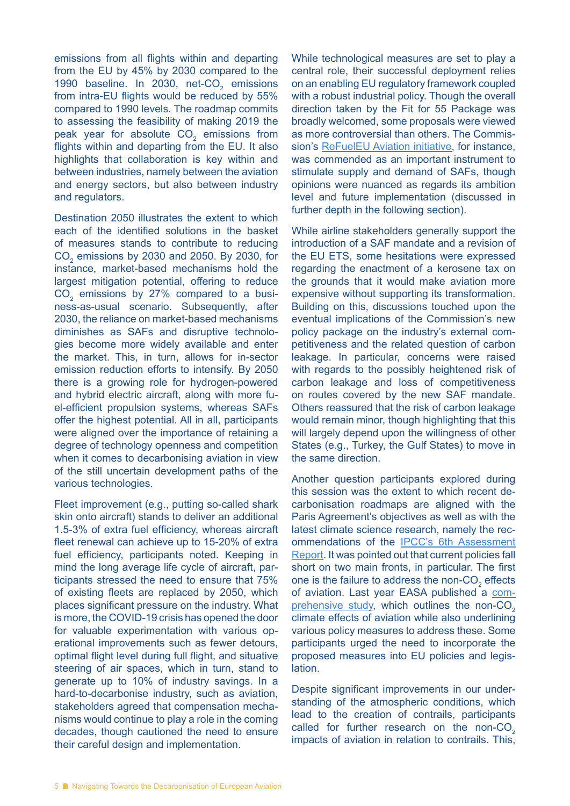emissions from all flights within and departing from the EU by 45% by 2030 compared to the 1990 baseline. In 2030, net-CO<sub>2</sub> emissions from intra-EU flights would be reduced by 55% compared to 1990 levels. The roadmap commits to assessing the feasibility of making 2019 the peak year for absolute  $CO_2$  emissions from flights within and departing from the EU. It also highlights that collaboration is key within and between industries, namely between the aviation and energy sectors, but also between industry and regulators.

Destination 2050 illustrates the extent to which each of the identified solutions in the basket of measures stands to contribute to reducing  $\text{CO}_2$  emissions by 2030 and 2050. By 2030, for instance, market-based mechanisms hold the largest mitigation potential, offering to reduce  $\mathrm{CO}_2$  emissions by 27% compared to a business-as-usual scenario. Subsequently, after 2030, the reliance on market-based mechanisms diminishes as SAFs and disruptive technologies become more widely available and enter the market. This, in turn, allows for in-sector emission reduction efforts to intensify. By 2050 there is a growing role for hydrogen-powered and hybrid electric aircraft, along with more fuel-efficient propulsion systems, whereas SAFs offer the highest potential. All in all, participants were aligned over the importance of retaining a degree of technology openness and competition when it comes to decarbonising aviation in view of the still uncertain development paths of the various technologies.

Fleet improvement (e.g., putting so-called shark skin onto aircraft) stands to deliver an additional 1.5-3% of extra fuel efficiency, whereas aircraft fleet renewal can achieve up to 15-20% of extra fuel efficiency, participants noted. Keeping in mind the long average life cycle of aircraft, participants stressed the need to ensure that 75% of existing fleets are replaced by 2050, which places significant pressure on the industry. What is more, the COVID-19 crisis has opened the door for valuable experimentation with various operational improvements such as fewer detours, optimal flight level during full flight, and situative steering of air spaces, which in turn, stand to generate up to 10% of industry savings. In a hard-to-decarbonise industry, such as aviation, stakeholders agreed that compensation mechanisms would continue to play a role in the coming decades, though cautioned the need to ensure their careful design and implementation.

While technological measures are set to play a central role, their successful deployment relies on an enabling EU regulatory framework coupled with a robust industrial policy. Though the overall direction taken by the Fit for 55 Package was broadly welcomed, some proposals were viewed as more controversial than others. The Commission's [ReFuelEU Aviation initiative,](https://ec.europa.eu/info/sites/default/files/refueleu_aviation_-_sustainable_aviation_fuels.pdf) for instance, was commended as an important instrument to stimulate supply and demand of SAFs, though opinions were nuanced as regards its ambition level and future implementation (discussed in further depth in the following section).

While airline stakeholders generally support the introduction of a SAF mandate and a revision of the EU ETS, some hesitations were expressed regarding the enactment of a kerosene tax on the grounds that it would make aviation more expensive without supporting its transformation. Building on this, discussions touched upon the eventual implications of the Commission's new policy package on the industry's external competitiveness and the related question of carbon leakage. In particular, concerns were raised with regards to the possibly heightened risk of carbon leakage and loss of competitiveness on routes covered by the new SAF mandate. Others reassured that the risk of carbon leakage would remain minor, though highlighting that this will largely depend upon the willingness of other States (e.g., Turkey, the Gulf States) to move in the same direction.

Another question participants explored during this session was the extent to which recent decarbonisation roadmaps are aligned with the Paris Agreement's objectives as well as with the latest climate science research, namely the recommendations of the [IPCC's 6th Assessment](https://www.ipcc.ch/assessment-report/ar6/)  [Report](https://www.ipcc.ch/assessment-report/ar6/). It was pointed out that current policies fall short on two main fronts, in particular. The first one is the failure to address the non- $CO<sub>2</sub>$  effects of aviation. Last year EASA published a [com](https://ec.europa.eu/clima/news-your-voice/news/updated-analysis-non-co2-effects-aviation-2020-11-24_en)[prehensive study,](https://ec.europa.eu/clima/news-your-voice/news/updated-analysis-non-co2-effects-aviation-2020-11-24_en) which outlines the non- $CO<sub>2</sub>$ climate effects of aviation while also underlining various policy measures to address these. Some participants urged the need to incorporate the proposed measures into EU policies and legislation.

Despite significant improvements in our understanding of the atmospheric conditions, which lead to the creation of contrails, participants called for further research on the non- $CO<sub>2</sub>$ impacts of aviation in relation to contrails. This,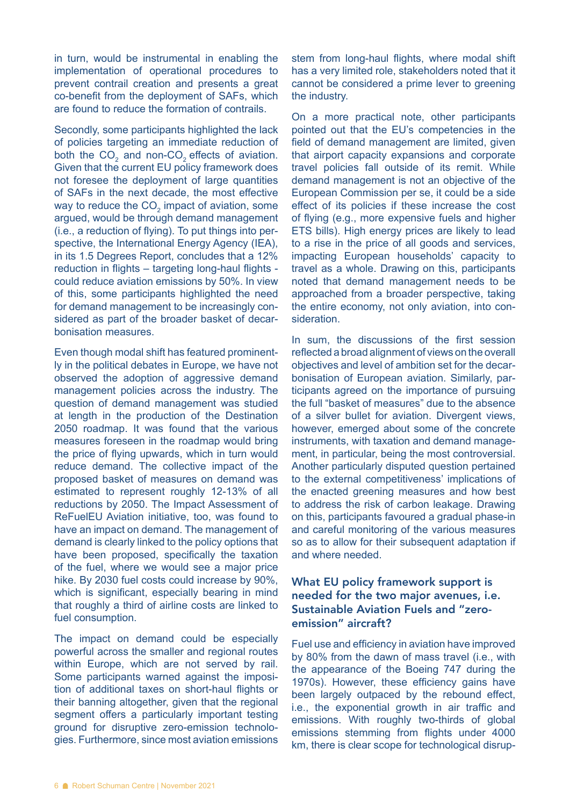in turn, would be instrumental in enabling the implementation of operational procedures to prevent contrail creation and presents a great co-benefit from the deployment of SAFs, which are found to reduce the formation of contrails.

Secondly, some participants highlighted the lack of policies targeting an immediate reduction of both the  $CO_2$  and non-CO<sub>2</sub> effects of aviation. Given that the current EU policy framework does not foresee the deployment of large quantities of SAFs in the next decade, the most effective way to reduce the CO<sub>2</sub> impact of aviation, some argued, would be through demand management (i.e., a reduction of flying). To put things into perspective, the International Energy Agency (IEA), in its 1.5 Degrees Report, concludes that a 12% reduction in flights – targeting long-haul flights could reduce aviation emissions by 50%. In view of this, some participants highlighted the need for demand management to be increasingly considered as part of the broader basket of decarbonisation measures.

Even though modal shift has featured prominently in the political debates in Europe, we have not observed the adoption of aggressive demand management policies across the industry. The question of demand management was studied at length in the production of the Destination 2050 roadmap. It was found that the various measures foreseen in the roadmap would bring the price of flying upwards, which in turn would reduce demand. The collective impact of the proposed basket of measures on demand was estimated to represent roughly 12-13% of all reductions by 2050. The Impact Assessment of ReFuelEU Aviation initiative, too, was found to have an impact on demand. The management of demand is clearly linked to the policy options that have been proposed, specifically the taxation of the fuel, where we would see a major price hike. By 2030 fuel costs could increase by 90%, which is significant, especially bearing in mind that roughly a third of airline costs are linked to fuel consumption.

The impact on demand could be especially powerful across the smaller and regional routes within Europe, which are not served by rail. Some participants warned against the imposition of additional taxes on short-haul flights or their banning altogether, given that the regional segment offers a particularly important testing ground for disruptive zero-emission technologies. Furthermore, since most aviation emissions stem from long-haul flights, where modal shift has a very limited role, stakeholders noted that it cannot be considered a prime lever to greening the industry.

On a more practical note, other participants pointed out that the EU's competencies in the field of demand management are limited, given that airport capacity expansions and corporate travel policies fall outside of its remit. While demand management is not an objective of the European Commission per se, it could be a side effect of its policies if these increase the cost of flying (e.g., more expensive fuels and higher ETS bills). High energy prices are likely to lead to a rise in the price of all goods and services, impacting European households' capacity to travel as a whole. Drawing on this, participants noted that demand management needs to be approached from a broader perspective, taking the entire economy, not only aviation, into consideration.

In sum, the discussions of the first session reflected a broad alignment of views on the overall objectives and level of ambition set for the decarbonisation of European aviation. Similarly, participants agreed on the importance of pursuing the full "basket of measures" due to the absence of a silver bullet for aviation. Divergent views, however, emerged about some of the concrete instruments, with taxation and demand management, in particular, being the most controversial. Another particularly disputed question pertained to the external competitiveness' implications of the enacted greening measures and how best to address the risk of carbon leakage. Drawing on this, participants favoured a gradual phase-in and careful monitoring of the various measures so as to allow for their subsequent adaptation if and where needed.

#### What EU policy framework support is needed for the two major avenues, i.e. Sustainable Aviation Fuels and "zeroemission" aircraft?

Fuel use and efficiency in aviation have improved by 80% from the dawn of mass travel (i.e., with the appearance of the Boeing 747 during the 1970s). However, these efficiency gains have been largely outpaced by the rebound effect, i.e., the exponential growth in air traffic and emissions. With roughly two-thirds of global emissions stemming from flights under 4000 km, there is clear scope for technological disrup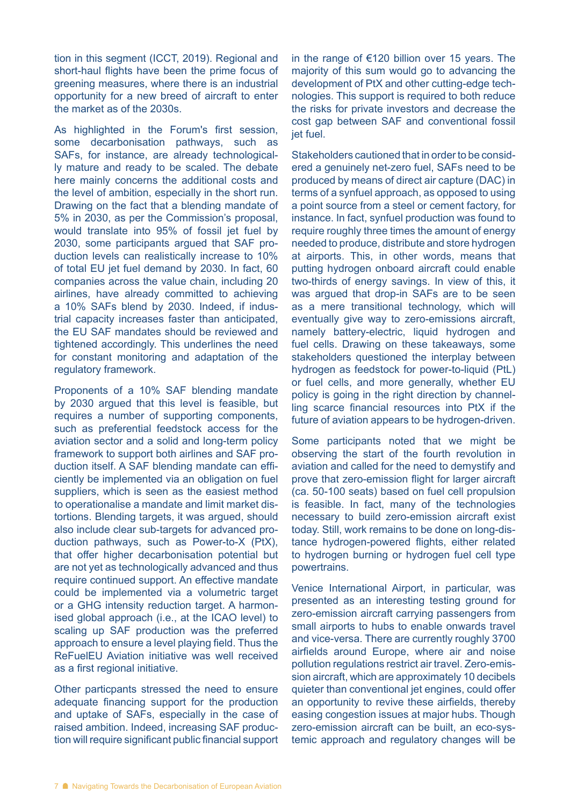tion in this segment (ICCT, 2019). Regional and short-haul flights have been the prime focus of greening measures, where there is an industrial opportunity for a new breed of aircraft to enter the market as of the 2030s.

As highlighted in the Forum's first session, some decarbonisation pathways, such as SAFs, for instance, are already technologically mature and ready to be scaled. The debate here mainly concerns the additional costs and the level of ambition, especially in the short run. Drawing on the fact that a blending mandate of 5% in 2030, as per the Commission's proposal, would translate into 95% of fossil jet fuel by 2030, some participants argued that SAF production levels can realistically increase to 10% of total EU jet fuel demand by 2030. In fact, 60 companies across the value chain, including 20 airlines, have already committed to achieving a 10% SAFs blend by 2030. Indeed, if industrial capacity increases faster than anticipated, the EU SAF mandates should be reviewed and tightened accordingly. This underlines the need for constant monitoring and adaptation of the regulatory framework.

Proponents of a 10% SAF blending mandate by 2030 argued that this level is feasible, but requires a number of supporting components, such as preferential feedstock access for the aviation sector and a solid and long-term policy framework to support both airlines and SAF production itself. A SAF blending mandate can efficiently be implemented via an obligation on fuel suppliers, which is seen as the easiest method to operationalise a mandate and limit market distortions. Blending targets, it was argued, should also include clear sub-targets for advanced production pathways, such as Power-to-X (PtX), that offer higher decarbonisation potential but are not yet as technologically advanced and thus require continued support. An effective mandate could be implemented via a volumetric target or a GHG intensity reduction target. A harmonised global approach (i.e., at the ICAO level) to scaling up SAF production was the preferred approach to ensure a level playing field. Thus the ReFuelEU Aviation initiative was well received as a first regional initiative.

Other particpants stressed the need to ensure adequate financing support for the production and uptake of SAFs, especially in the case of raised ambition. Indeed, increasing SAF production will require significant public financial support

in the range of €120 billion over 15 years. The majority of this sum would go to advancing the development of PtX and other cutting-edge technologies. This support is required to both reduce the risks for private investors and decrease the cost gap between SAF and conventional fossil jet fuel.

Stakeholders cautioned that in order to be considered a genuinely net-zero fuel, SAFs need to be produced by means of direct air capture (DAC) in terms of a synfuel approach, as opposed to using a point source from a steel or cement factory, for instance. In fact, synfuel production was found to require roughly three times the amount of energy needed to produce, distribute and store hydrogen at airports. This, in other words, means that putting hydrogen onboard aircraft could enable two-thirds of energy savings. In view of this, it was argued that drop-in SAFs are to be seen as a mere transitional technology, which will eventually give way to zero-emissions aircraft, namely battery-electric, liquid hydrogen and fuel cells. Drawing on these takeaways, some stakeholders questioned the interplay between hydrogen as feedstock for power-to-liquid (PtL) or fuel cells, and more generally, whether EU policy is going in the right direction by channelling scarce financial resources into PtX if the future of aviation appears to be hydrogen-driven.

Some participants noted that we might be observing the start of the fourth revolution in aviation and called for the need to demystify and prove that zero-emission flight for larger aircraft (ca. 50-100 seats) based on fuel cell propulsion is feasible. In fact, many of the technologies necessary to build zero-emission aircraft exist today. Still, work remains to be done on long-distance hydrogen-powered flights, either related to hydrogen burning or hydrogen fuel cell type powertrains.

Venice International Airport, in particular, was presented as an interesting testing ground for zero-emission aircraft carrying passengers from small airports to hubs to enable onwards travel and vice-versa. There are currently roughly 3700 airfields around Europe, where air and noise pollution regulations restrict air travel. Zero-emission aircraft, which are approximately 10 decibels quieter than conventional jet engines, could offer an opportunity to revive these airfields, thereby easing congestion issues at major hubs. Though zero-emission aircraft can be built, an eco-systemic approach and regulatory changes will be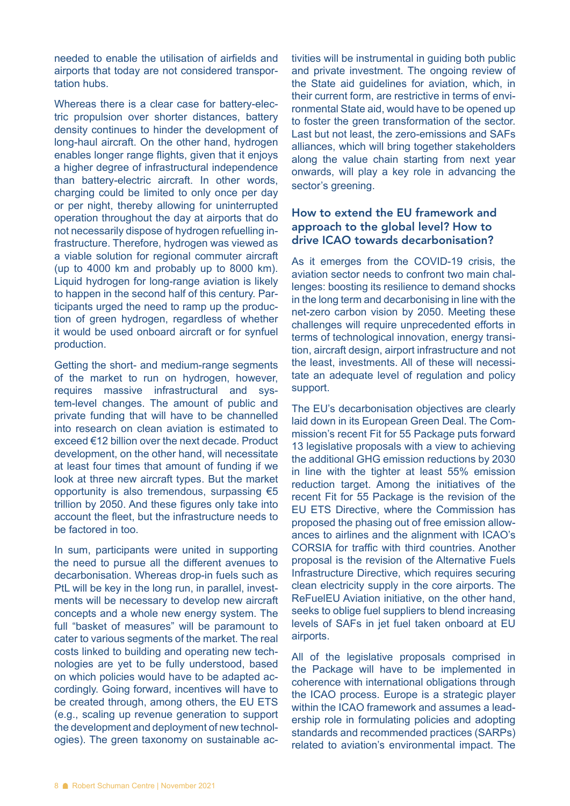needed to enable the utilisation of airfields and airports that today are not considered transportation hubs.

Whereas there is a clear case for battery-electric propulsion over shorter distances, battery density continues to hinder the development of long-haul aircraft. On the other hand, hydrogen enables longer range flights, given that it enjoys a higher degree of infrastructural independence than battery-electric aircraft. In other words, charging could be limited to only once per day or per night, thereby allowing for uninterrupted operation throughout the day at airports that do not necessarily dispose of hydrogen refuelling infrastructure. Therefore, hydrogen was viewed as a viable solution for regional commuter aircraft (up to 4000 km and probably up to 8000 km). Liquid hydrogen for long-range aviation is likely to happen in the second half of this century. Participants urged the need to ramp up the production of green hydrogen, regardless of whether it would be used onboard aircraft or for synfuel production.

Getting the short- and medium-range segments of the market to run on hydrogen, however, requires massive infrastructural and system-level changes. The amount of public and private funding that will have to be channelled into research on clean aviation is estimated to exceed €12 billion over the next decade. Product development, on the other hand, will necessitate at least four times that amount of funding if we look at three new aircraft types. But the market opportunity is also tremendous, surpassing €5 trillion by 2050. And these figures only take into account the fleet, but the infrastructure needs to be factored in too.

In sum, participants were united in supporting the need to pursue all the different avenues to decarbonisation. Whereas drop-in fuels such as PtL will be key in the long run, in parallel, investments will be necessary to develop new aircraft concepts and a whole new energy system. The full "basket of measures" will be paramount to cater to various segments of the market. The real costs linked to building and operating new technologies are yet to be fully understood, based on which policies would have to be adapted accordingly. Going forward, incentives will have to be created through, among others, the EU ETS (e.g., scaling up revenue generation to support the development and deployment of new technologies). The green taxonomy on sustainable ac-

tivities will be instrumental in guiding both public and private investment. The ongoing review of the State aid guidelines for aviation, which, in their current form, are restrictive in terms of environmental State aid, would have to be opened up to foster the green transformation of the sector. Last but not least, the zero-emissions and SAFs alliances, which will bring together stakeholders along the value chain starting from next year onwards, will play a key role in advancing the sector's greening.

#### How to extend the EU framework and approach to the global level? How to drive ICAO towards decarbonisation?

As it emerges from the COVID-19 crisis, the aviation sector needs to confront two main challenges: boosting its resilience to demand shocks in the long term and decarbonising in line with the net-zero carbon vision by 2050. Meeting these challenges will require unprecedented efforts in terms of technological innovation, energy transition, aircraft design, airport infrastructure and not the least, investments. All of these will necessitate an adequate level of regulation and policy support.

The EU's decarbonisation objectives are clearly laid down in its European Green Deal. The Commission's recent Fit for 55 Package puts forward 13 legislative proposals with a view to achieving the additional GHG emission reductions by 2030 in line with the tighter at least 55% emission reduction target. Among the initiatives of the recent Fit for 55 Package is the revision of the EU ETS Directive, where the Commission has proposed the phasing out of free emission allowances to airlines and the alignment with ICAO's CORSIA for traffic with third countries. Another proposal is the revision of the Alternative Fuels Infrastructure Directive, which requires securing clean electricity supply in the core airports. The ReFuelEU Aviation initiative, on the other hand, seeks to oblige fuel suppliers to blend increasing levels of SAFs in jet fuel taken onboard at EU airports.

All of the legislative proposals comprised in the Package will have to be implemented in coherence with international obligations through the ICAO process. Europe is a strategic player within the ICAO framework and assumes a leadership role in formulating policies and adopting standards and recommended practices (SARPs) related to aviation's environmental impact. The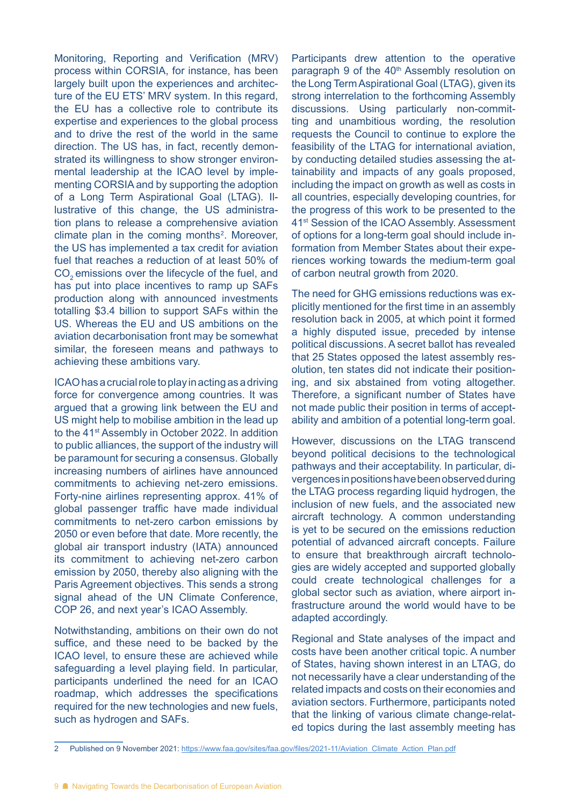Monitoring, Reporting and Verification (MRV) process within CORSIA, for instance, has been largely built upon the experiences and architecture of the EU ETS' MRV system. In this regard, the EU has a collective role to contribute its expertise and experiences to the global process and to drive the rest of the world in the same direction. The US has, in fact, recently demonstrated its willingness to show stronger environmental leadership at the ICAO level by implementing CORSIA and by supporting the adoption of a Long Term Aspirational Goal (LTAG). Illustrative of this change, the US administration plans to release a comprehensive aviation climate plan in the coming months<sup>2</sup>. Moreover, the US has implemented a tax credit for aviation fuel that reaches a reduction of at least 50% of CO<sub>2</sub> emissions over the lifecycle of the fuel, and has put into place incentives to ramp up SAFs production along with announced investments totalling \$3.4 billion to support SAFs within the US. Whereas the EU and US ambitions on the aviation decarbonisation front may be somewhat similar, the foreseen means and pathways to achieving these ambitions vary.

ICAO has a crucial role to play in acting as a driving force for convergence among countries. It was argued that a growing link between the EU and US might help to mobilise ambition in the lead up to the 41<sup>st</sup> Assembly in October 2022. In addition to public alliances, the support of the industry will be paramount for securing a consensus. Globally increasing numbers of airlines have announced commitments to achieving net-zero emissions. Forty-nine airlines representing approx. 41% of global passenger traffic have made individual commitments to net-zero carbon emissions by 2050 or even before that date. More recently, the global air transport industry (IATA) announced its commitment to achieving net-zero carbon emission by 2050, thereby also aligning with the Paris Agreement objectives. This sends a strong signal ahead of the UN Climate Conference, COP 26, and next year's ICAO Assembly.

Notwithstanding, ambitions on their own do not suffice, and these need to be backed by the ICAO level, to ensure these are achieved while safeguarding a level playing field. In particular, participants underlined the need for an ICAO roadmap, which addresses the specifications required for the new technologies and new fuels, such as hydrogen and SAFs.

Participants drew attention to the operative paragraph 9 of the 40<sup>th</sup> Assembly resolution on the Long Term Aspirational Goal (LTAG), given its strong interrelation to the forthcoming Assembly discussions. Using particularly non-committing and unambitious wording, the resolution requests the Council to continue to explore the feasibility of the LTAG for international aviation, by conducting detailed studies assessing the attainability and impacts of any goals proposed, including the impact on growth as well as costs in all countries, especially developing countries, for the progress of this work to be presented to the 41st Session of the ICAO Assembly. Assessment of options for a long-term goal should include information from Member States about their experiences working towards the medium-term goal of carbon neutral growth from 2020.

The need for GHG emissions reductions was explicitly mentioned for the first time in an assembly resolution back in 2005, at which point it formed a highly disputed issue, preceded by intense political discussions. A secret ballot has revealed that 25 States opposed the latest assembly resolution, ten states did not indicate their positioning, and six abstained from voting altogether. Therefore, a significant number of States have not made public their position in terms of acceptability and ambition of a potential long-term goal.

However, discussions on the LTAG transcend beyond political decisions to the technological pathways and their acceptability. In particular, divergences in positions have been observed during the LTAG process regarding liquid hydrogen, the inclusion of new fuels, and the associated new aircraft technology. A common understanding is yet to be secured on the emissions reduction potential of advanced aircraft concepts. Failure to ensure that breakthrough aircraft technologies are widely accepted and supported globally could create technological challenges for a global sector such as aviation, where airport infrastructure around the world would have to be adapted accordingly.

Regional and State analyses of the impact and costs have been another critical topic. A number of States, having shown interest in an LTAG, do not necessarily have a clear understanding of the related impacts and costs on their economies and aviation sectors. Furthermore, participants noted that the linking of various climate change-related topics during the last assembly meeting has

<sup>2</sup> Published on 9 November 2021: [https://www.faa.gov/sites/faa.gov/files/2021-11/Aviation\\_Climate\\_Action\\_Plan.pdf](https://www.faa.gov/sites/faa.gov/files/2021-11/Aviation_Climate_Action_Plan.pdf)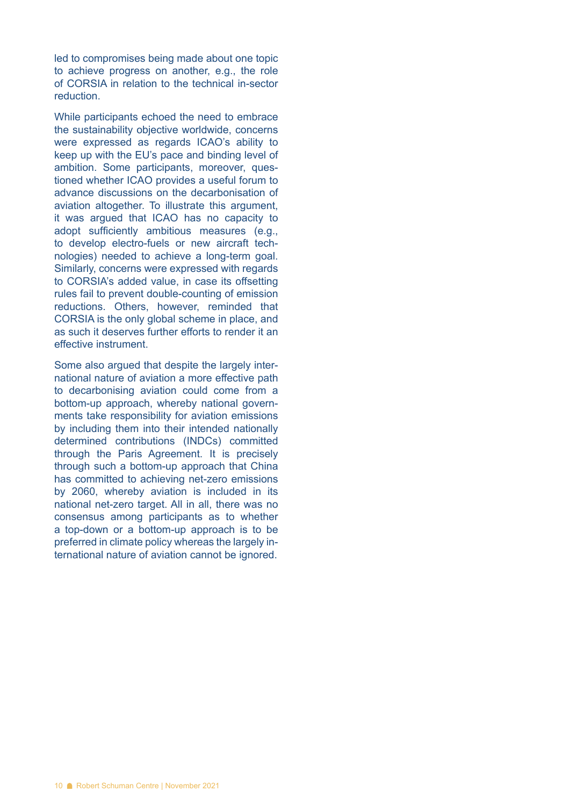led to compromises being made about one topic to achieve progress on another, e.g., the role of CORSIA in relation to the technical in-sector reduction.

While participants echoed the need to embrace the sustainability objective worldwide, concerns were expressed as regards ICAO's ability to keep up with the EU's pace and binding level of ambition. Some participants, moreover, questioned whether ICAO provides a useful forum to advance discussions on the decarbonisation of aviation altogether. To illustrate this argument, it was argued that ICAO has no capacity to adopt sufficiently ambitious measures (e.g., to develop electro-fuels or new aircraft technologies) needed to achieve a long-term goal. Similarly, concerns were expressed with regards to CORSIA's added value, in case its offsetting rules fail to prevent double-counting of emission reductions. Others, however, reminded that CORSIA is the only global scheme in place, and as such it deserves further efforts to render it an effective instrument.

Some also argued that despite the largely international nature of aviation a more effective path to decarbonising aviation could come from a bottom-up approach, whereby national governments take responsibility for aviation emissions by including them into their intended nationally determined contributions (INDCs) committed through the Paris Agreement. It is precisely through such a bottom-up approach that China has committed to achieving net-zero emissions by 2060, whereby aviation is included in its national net-zero target. All in all, there was no consensus among participants as to whether a top-down or a bottom-up approach is to be preferred in climate policy whereas the largely international nature of aviation cannot be ignored.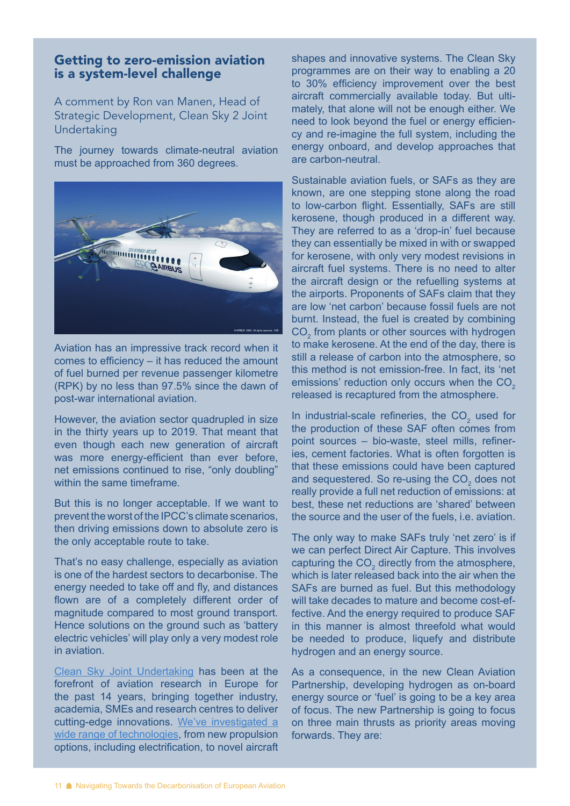#### Getting to zero-emission aviation is a system-level challenge

A comment by Ron van Manen, Head of Strategic Development, Clean Sky 2 Joint Undertaking

The journey towards climate-neutral aviation must be approached from 360 degrees.



Aviation has an impressive track record when it comes to efficiency – it has reduced the amount of fuel burned per revenue passenger kilometre (RPK) by no less than 97.5% since the dawn of post-war international aviation.

However, the aviation sector quadrupled in size in the thirty years up to 2019. That meant that even though each new generation of aircraft was more energy-efficient than ever before, net emissions continued to rise, "only doubling" within the same timeframe.

But this is no longer acceptable. If we want to prevent the worst of the IPCC's climate scenarios, then driving emissions down to absolute zero is the only acceptable route to take.

That's no easy challenge, especially as aviation is one of the hardest sectors to decarbonise. The energy needed to take off and fly, and distances flown are of a completely different order of magnitude compared to most ground transport. Hence solutions on the ground such as 'battery electric vehicles' will play only a very modest role in aviation.

[Clean Sky Joint Undertaking](http://www.cleansky.eu) has been at the forefront of aviation research in Europe for the past 14 years, bringing together industry, academia, SMEs and research centres to deliver cutting-edge innovations. [We've investigated a](https://cleansky.virtualfair.be/)  [wide range of technologies](https://cleansky.virtualfair.be/), from new propulsion options, including electrification, to novel aircraft

shapes and innovative systems. The Clean Sky programmes are on their way to enabling a 20 to 30% efficiency improvement over the best aircraft commercially available today. But ultimately, that alone will not be enough either. We need to look beyond the fuel or energy efficiency and re-imagine the full system, including the energy onboard, and develop approaches that are carbon-neutral.

Sustainable aviation fuels, or SAFs as they are known, are one stepping stone along the road to low-carbon flight. Essentially, SAFs are still kerosene, though produced in a different way. They are referred to as a 'drop-in' fuel because they can essentially be mixed in with or swapped for kerosene, with only very modest revisions in aircraft fuel systems. There is no need to alter the aircraft design or the refuelling systems at the airports. Proponents of SAFs claim that they are low 'net carbon' because fossil fuels are not burnt. Instead, the fuel is created by combining  $CO<sub>2</sub>$  from plants or other sources with hydrogen to make kerosene. At the end of the day, there is still a release of carbon into the atmosphere, so this method is not emission-free. In fact, its 'net emissions' reduction only occurs when the CO<sub>2</sub> released is recaptured from the atmosphere.

In industrial-scale refineries, the  $CO<sub>2</sub>$  used for the production of these SAF often comes from point sources – bio-waste, steel mills, refineries, cement factories. What is often forgotten is that these emissions could have been captured and sequestered. So re-using the  $CO<sub>2</sub>$  does not really provide a full net reduction of emissions: at best, these net reductions are 'shared' between the source and the user of the fuels, i.e. aviation.

The only way to make SAFs truly 'net zero' is if we can perfect Direct Air Capture. This involves capturing the  $CO<sub>2</sub>$  directly from the atmosphere, which is later released back into the air when the SAFs are burned as fuel. But this methodology will take decades to mature and become cost-effective. And the energy required to produce SAF in this manner is almost threefold what would be needed to produce, liquefy and distribute hydrogen and an energy source.

As a consequence, in the new Clean Aviation Partnership, developing hydrogen as on-board energy source or 'fuel' is going to be a key area of focus. The new Partnership is going to focus on three main thrusts as priority areas moving forwards. They are: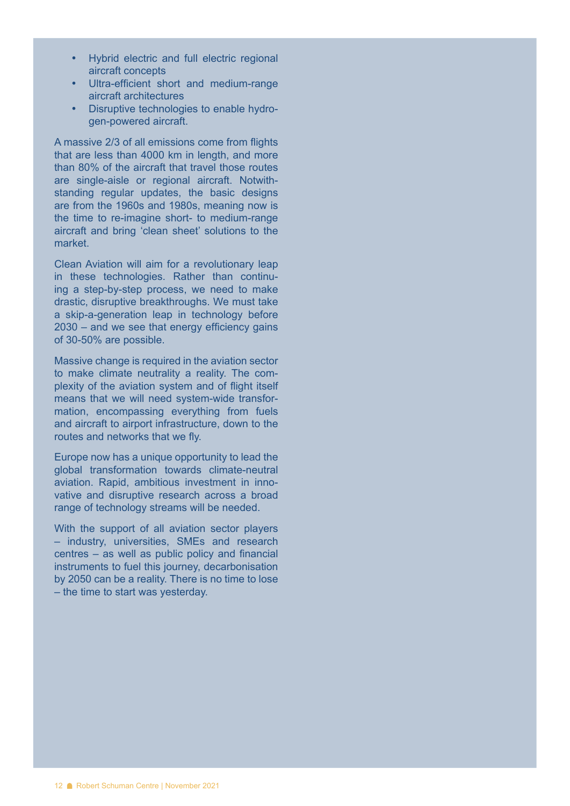- • Hybrid electric and full electric regional aircraft concepts
- Ultra-efficient short and medium-range aircraft architectures
- • Disruptive technologies to enable hydrogen-powered aircraft.

A massive 2/3 of all emissions come from flights that are less than 4000 km in length, and more than 80% of the aircraft that travel those routes are single-aisle or regional aircraft. Notwithstanding regular updates, the basic designs are from the 1960s and 1980s, meaning now is the time to re-imagine short- to medium-range aircraft and bring 'clean sheet' solutions to the market.

Clean Aviation will aim for a revolutionary leap in these technologies. Rather than continuing a step-by-step process, we need to make drastic, disruptive breakthroughs. We must take a skip-a-generation leap in technology before 2030 – and we see that energy efficiency gains of 30-50% are possible.

Massive change is required in the aviation sector to make climate neutrality a reality. The complexity of the aviation system and of flight itself means that we will need system-wide transformation, encompassing everything from fuels and aircraft to airport infrastructure, down to the routes and networks that we fly.

Europe now has a unique opportunity to lead the global transformation towards climate-neutral aviation. Rapid, ambitious investment in innovative and disruptive research across a broad range of technology streams will be needed.

With the support of all aviation sector players – industry, universities, SMEs and research centres – as well as public policy and financial instruments to fuel this journey, decarbonisation by 2050 can be a reality. There is no time to lose – the time to start was yesterday.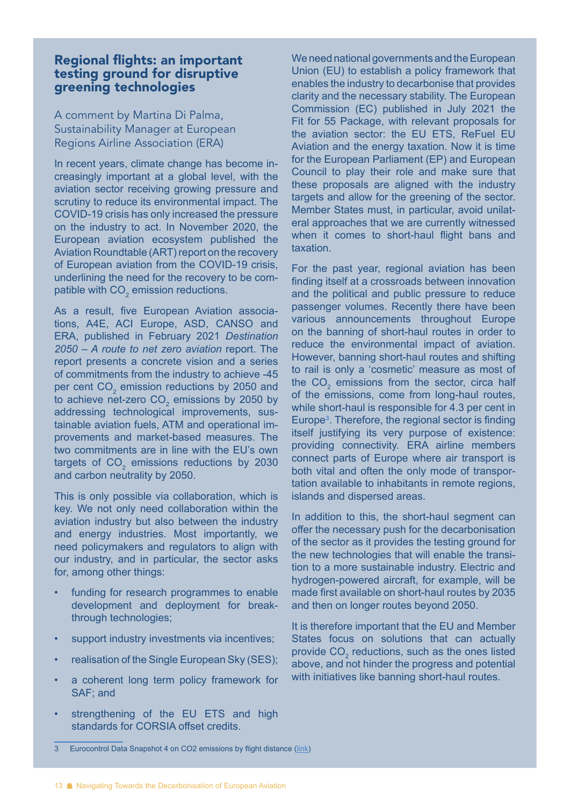#### Regional flights: an important testing ground for disruptive greening technologies

A comment by Martina Di Palma, Sustainability Manager at European Regions Airline Association (ERA)

In recent years, climate change has become increasingly important at a global level, with the aviation sector receiving growing pressure and scrutiny to reduce its environmental impact. The COVID-19 crisis has only increased the pressure on the industry to act. In November 2020, the European aviation ecosystem published the Aviation Roundtable (ART) report on the recovery of European aviation from the COVID-19 crisis, underlining the need for the recovery to be compatible with CO<sub>2</sub> emission reductions.

As a result, five European Aviation associations, A4E, ACI Europe, ASD, CANSO and ERA, published in February 2021 *Destination 2050 – A route to net zero aviation* report. The report presents a concrete vision and a series of commitments from the industry to achieve -45 per cent  $\text{CO}_2$  emission reductions by 2050 and to achieve net-zero CO<sub>2</sub> emissions by 2050 by addressing technological improvements, sustainable aviation fuels, ATM and operational improvements and market-based measures. The two commitments are in line with the EU's own targets of  $\text{CO}_2$  emissions reductions by 2030 and carbon neutrality by 2050.

This is only possible via collaboration, which is key. We not only need collaboration within the aviation industry but also between the industry and energy industries. Most importantly, we need policymakers and regulators to align with our industry, and in particular, the sector asks for, among other things:

- funding for research programmes to enable development and deployment for breakthrough technologies;
- support industry investments via incentives;
- realisation of the Single European Sky (SES);
- a coherent long term policy framework for SAF; and
- strengthening of the EU ETS and high standards for CORSIA offset credits.

We need national governments and the European Union (EU) to establish a policy framework that enables the industry to decarbonise that provides clarity and the necessary stability. The European Commission (EC) published in July 2021 the Fit for 55 Package, with relevant proposals for the aviation sector: the EU ETS, ReFuel EU Aviation and the energy taxation. Now it is time for the European Parliament (EP) and European Council to play their role and make sure that these proposals are aligned with the industry targets and allow for the greening of the sector. Member States must, in particular, avoid unilateral approaches that we are currently witnessed when it comes to short-haul flight bans and taxation.

For the past year, regional aviation has been finding itself at a crossroads between innovation and the political and public pressure to reduce passenger volumes. Recently there have been various announcements throughout Europe on the banning of short-haul routes in order to reduce the environmental impact of aviation. However, banning short-haul routes and shifting to rail is only a 'cosmetic' measure as most of the  $CO<sub>2</sub>$  emissions from the sector, circa half of the emissions, come from long-haul routes, while short-haul is responsible for 4.3 per cent in Europe<sup>3</sup>. Therefore, the regional sector is finding itself justifying its very purpose of existence: providing connectivity. ERA airline members connect parts of Europe where air transport is both vital and often the only mode of transportation available to inhabitants in remote regions, islands and dispersed areas.

In addition to this, the short-haul segment can offer the necessary push for the decarbonisation of the sector as it provides the testing ground for the new technologies that will enable the transition to a more sustainable industry. Electric and hydrogen-powered aircraft, for example, will be made first available on short-haul routes by 2035 and then on longer routes beyond 2050.

It is therefore important that the EU and Member States focus on solutions that can actually provide  $\mathrm{CO}_2$  reductions, such as the ones listed above, and not hinder the progress and potential with initiatives like banning short-haul routes.

<sup>3</sup> Eurocontrol Data Snapshot 4 on CO2 emissions by flight distance [\(link](https://www.eurocontrol.int/publication/eurocontrol-data-snapshot-co2-emissions-flight-distance))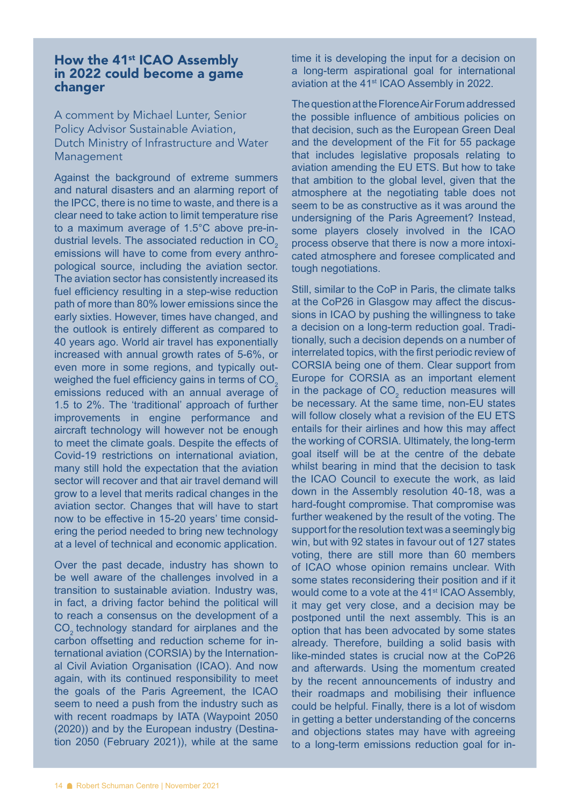### How the 41<sup>st</sup> ICAO Assembly in 2022 could become a game changer

A comment by Michael Lunter, Senior Policy Advisor Sustainable Aviation, Dutch Ministry of Infrastructure and Water Management

Against the background of extreme summers and natural disasters and an alarming report of the IPCC, there is no time to waste, and there is a clear need to take action to limit temperature rise to a maximum average of 1.5°C above pre-industrial levels. The associated reduction in  $CO<sub>2</sub>$ emissions will have to come from every anthropological source, including the aviation sector. The aviation sector has consistently increased its fuel efficiency resulting in a step-wise reduction path of more than 80% lower emissions since the early sixties. However, times have changed, and the outlook is entirely different as compared to 40 years ago. World air travel has exponentially increased with annual growth rates of 5-6%, or even more in some regions, and typically outweighed the fuel efficiency gains in terms of CO<sub>2</sub> emissions reduced with an annual average of 1.5 to 2%. The 'traditional' approach of further improvements in engine performance and aircraft technology will however not be enough to meet the climate goals. Despite the effects of Covid-19 restrictions on international aviation, many still hold the expectation that the aviation sector will recover and that air travel demand will grow to a level that merits radical changes in the aviation sector. Changes that will have to start now to be effective in 15-20 years' time considering the period needed to bring new technology at a level of technical and economic application.

Over the past decade, industry has shown to be well aware of the challenges involved in a transition to sustainable aviation. Industry was, in fact, a driving factor behind the political will to reach a consensus on the development of a CO<sub>2</sub> technology standard for airplanes and the carbon offsetting and reduction scheme for international aviation (CORSIA) by the International Civil Aviation Organisation (ICAO). And now again, with its continued responsibility to meet the goals of the Paris Agreement, the ICAO seem to need a push from the industry such as with recent roadmaps by IATA (Waypoint 2050 (2020)) and by the European industry (Destination 2050 (February 2021)), while at the same

time it is developing the input for a decision on a long-term aspirational goal for international aviation at the 41<sup>st</sup> ICAO Assembly in 2022.

The question at the Florence Air Forum addressed the possible influence of ambitious policies on that decision, such as the European Green Deal and the development of the Fit for 55 package that includes legislative proposals relating to aviation amending the EU ETS. But how to take that ambition to the global level, given that the atmosphere at the negotiating table does not seem to be as constructive as it was around the undersigning of the Paris Agreement? Instead, some players closely involved in the ICAO process observe that there is now a more intoxicated atmosphere and foresee complicated and tough negotiations.

Still, similar to the CoP in Paris, the climate talks at the CoP26 in Glasgow may affect the discussions in ICAO by pushing the willingness to take a decision on a long-term reduction goal. Traditionally, such a decision depends on a number of interrelated topics, with the first periodic review of CORSIA being one of them. Clear support from Europe for CORSIA as an important element in the package of  $CO<sub>2</sub>$  reduction measures will be necessary. At the same time, non-EU states will follow closely what a revision of the EU ETS entails for their airlines and how this may affect the working of CORSIA. Ultimately, the long-term goal itself will be at the centre of the debate whilst bearing in mind that the decision to task the ICAO Council to execute the work, as laid down in the Assembly resolution 40-18, was a hard-fought compromise. That compromise was further weakened by the result of the voting. The support for the resolution text was a seemingly big win, but with 92 states in favour out of 127 states voting, there are still more than 60 members of ICAO whose opinion remains unclear. With some states reconsidering their position and if it would come to a vote at the 41<sup>st</sup> ICAO Assembly, it may get very close, and a decision may be postponed until the next assembly. This is an option that has been advocated by some states already. Therefore, building a solid basis with like-minded states is crucial now at the CoP26 and afterwards. Using the momentum created by the recent announcements of industry and their roadmaps and mobilising their influence could be helpful. Finally, there is a lot of wisdom in getting a better understanding of the concerns and objections states may have with agreeing to a long-term emissions reduction goal for in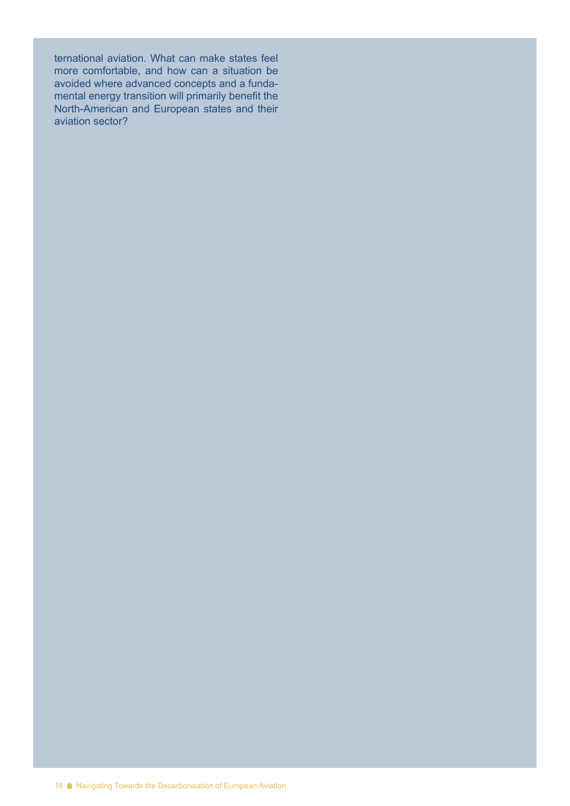ternational aviation. What can make states feel more comfortable, and how can a situation be avoided where advanced concepts and a fundamental energy transition will primarily benefit the North-American and European states and their aviation sector?